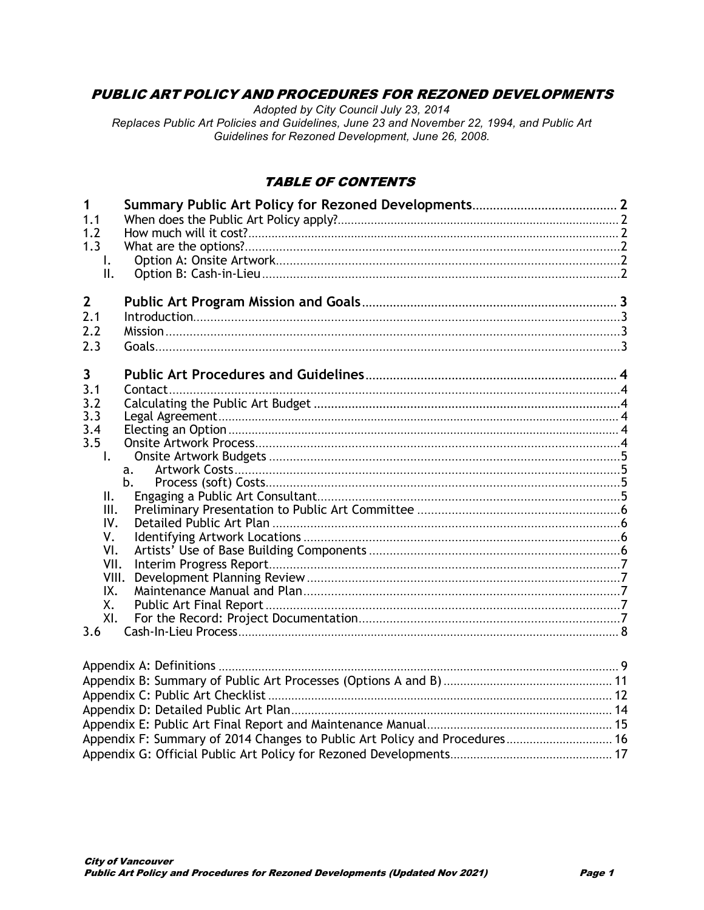## **PUBLIC ART POLICY AND PROCEDURES FOR REZONED DEVELOPMENTS**

Adopted by City Council July 23, 2014 Replaces Public Art Policies and Guidelines, June 23 and November 22, 1994, and Public Art Guidelines for Rezoned Development, June 26, 2008.

### **TABLE OF CONTENTS**

| 1                |         |  |
|------------------|---------|--|
| 1.1              |         |  |
| 1.2              |         |  |
| 1.3              |         |  |
| $\mathsf{I}$ .   |         |  |
| II.              |         |  |
| $2 \overline{ }$ |         |  |
| 2.1              |         |  |
| 2.2              |         |  |
| 2.3              |         |  |
|                  |         |  |
| 3                |         |  |
| 3.1              | Contact |  |
| 3.2              |         |  |
| 3.3              |         |  |
| 3.4              |         |  |
| 3.5              |         |  |
| $\mathsf{L}$     |         |  |
|                  | a.      |  |
|                  | b.      |  |
| Ш.<br>III.       |         |  |
| IV.              |         |  |
| ٧.               |         |  |
| VI.              |         |  |
| VII.             |         |  |
| VIII.            |         |  |
| IX.              |         |  |
| Χ.               |         |  |
| XI.              |         |  |
| 3.6              |         |  |
|                  |         |  |
|                  |         |  |
|                  |         |  |
|                  |         |  |
|                  |         |  |

Appendix F: Summary of 2014 Changes to Public Art Policy and Procedures............................. 16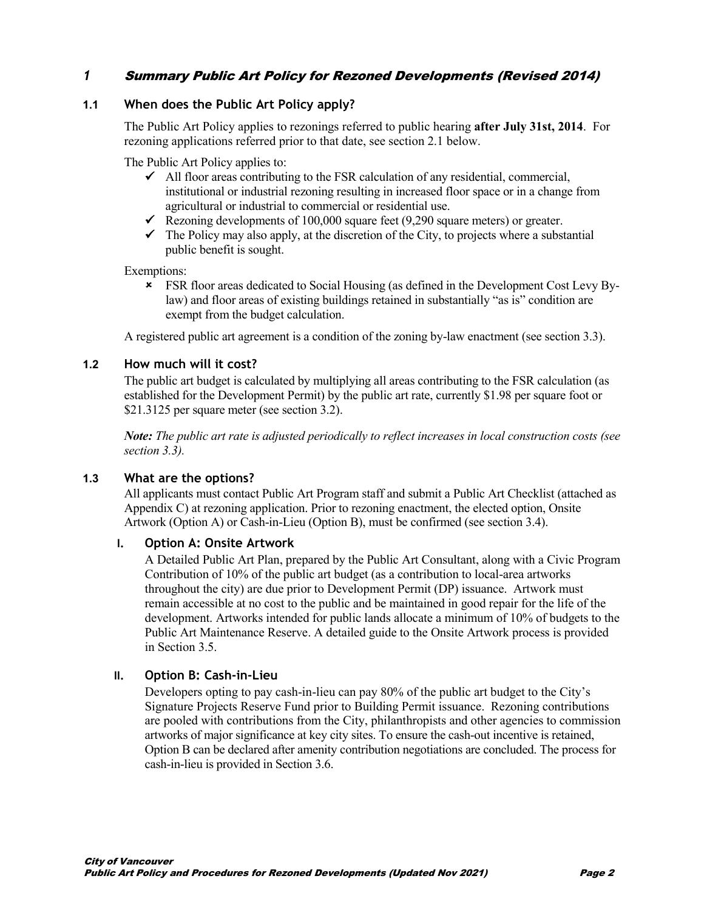## *1* Summary Public Art Policy for Rezoned Developments (Revised 2014)

#### **1.1 When does the Public Art Policy apply?**

The Public Art Policy applies to rezonings referred to public hearing **after July 31st, 2014**. For rezoning applications referred prior to that date, see section 2.1 below.

The Public Art Policy applies to:

- $\blacktriangle$  All floor areas contributing to the FSR calculation of any residential, commercial, institutional or industrial rezoning resulting in increased floor space or in a change from agricultural or industrial to commercial or residential use.
- Rezoning developments of 100,000 square feet  $(9,290)$  square meters) or greater.
- $\checkmark$  The Policy may also apply, at the discretion of the City, to projects where a substantial public benefit is sought.

Exemptions:

 FSR floor areas dedicated to Social Housing (as defined in the Development Cost Levy Bylaw) and floor areas of existing buildings retained in substantially "as is" condition are exempt from the budget calculation.

A registered public art agreement is a condition of the zoning by-law enactment (see section 3.3).

#### **1.2 How much will it cost?**

The public art budget is calculated by multiplying all areas contributing to the FSR calculation (as established for the Development Permit) by the public art rate, currently \$1.98 per square foot or \$21.3125 per square meter (see section 3.2).

*Note: The public art rate is adjusted periodically to reflect increases in local construction costs (see section 3.3).*

#### **1.3 What are the options?**

All applicants must contact Public Art Program staff and submit a Public Art Checklist (attached as Appendix C) at rezoning application. Prior to rezoning enactment, the elected option, Onsite Artwork (Option A) or Cash-in-Lieu (Option B), must be confirmed (see section 3.4).

#### **I. Option A: Onsite Artwork**

A Detailed Public Art Plan, prepared by the Public Art Consultant, along with a Civic Program Contribution of 10% of the public art budget (as a contribution to local-area artworks throughout the city) are due prior to Development Permit (DP) issuance. Artwork must remain accessible at no cost to the public and be maintained in good repair for the life of the development. Artworks intended for public lands allocate a minimum of 10% of budgets to the Public Art Maintenance Reserve. A detailed guide to the Onsite Artwork process is provided in Section 3.5.

#### **II. Option B: Cash-in-Lieu**

Developers opting to pay cash-in-lieu can pay 80% of the public art budget to the City's Signature Projects Reserve Fund prior to Building Permit issuance. Rezoning contributions are pooled with contributions from the City, philanthropists and other agencies to commission artworks of major significance at key city sites. To ensure the cash-out incentive is retained, Option B can be declared after amenity contribution negotiations are concluded. The process for cash-in-lieu is provided in Section 3.6.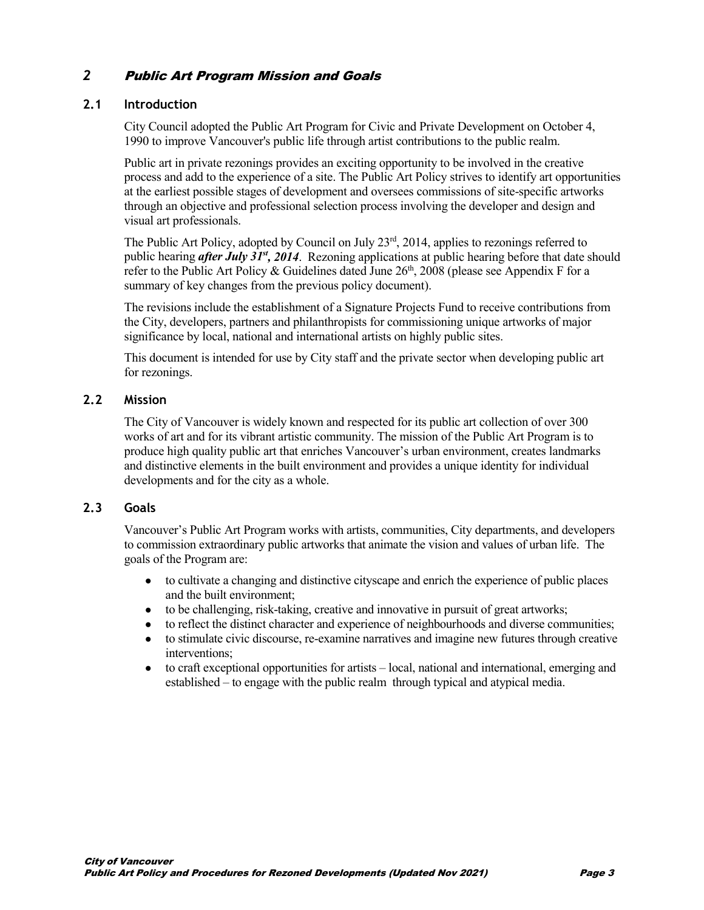## *2* Public Art Program Mission and Goals

#### **2.1 Introduction**

City Council adopted the Public Art Program for Civic and Private Development on October 4, 1990 to improve Vancouver's public life through artist contributions to the public realm.

Public art in private rezonings provides an exciting opportunity to be involved in the creative process and add to the experience of a site. The Public Art Policy strives to identify art opportunities at the earliest possible stages of development and oversees commissions of site-specific artworks through an objective and professional selection process involving the developer and design and visual art professionals.

The Public Art Policy, adopted by Council on July 23<sup>rd</sup>, 2014, applies to rezonings referred to public hearing *after July 31st, 2014*. Rezoning applications at public hearing before that date should refer to the Public Art Policy & Guidelines dated June  $26<sup>th</sup>$ , 2008 (please see Appendix F for a summary of key changes from the previous policy document).

The revisions include the establishment of a Signature Projects Fund to receive contributions from the City, developers, partners and philanthropists for commissioning unique artworks of major significance by local, national and international artists on highly public sites.

This document is intended for use by City staff and the private sector when developing public art for rezonings.

#### **2.2 Mission**

The City of Vancouver is widely known and respected for its public art collection of over 300 works of art and for its vibrant artistic community. The mission of the Public Art Program is to produce high quality public art that enriches Vancouver's urban environment, creates landmarks and distinctive elements in the built environment and provides a unique identity for individual developments and for the city as a whole.

#### **2.3 Goals**

Vancouver's Public Art Program works with artists, communities, City departments, and developers to commission extraordinary public artworks that animate the vision and values of urban life. The goals of the Program are:

- to cultivate a changing and distinctive cityscape and enrich the experience of public places and the built environment;
- to be challenging, risk-taking, creative and innovative in pursuit of great artworks;
- to reflect the distinct character and experience of neighbourhoods and diverse communities;
- to stimulate civic discourse, re-examine narratives and imagine new futures through creative interventions;
- to craft exceptional opportunities for artists local, national and international, emerging and established – to engage with the public realm through typical and atypical media.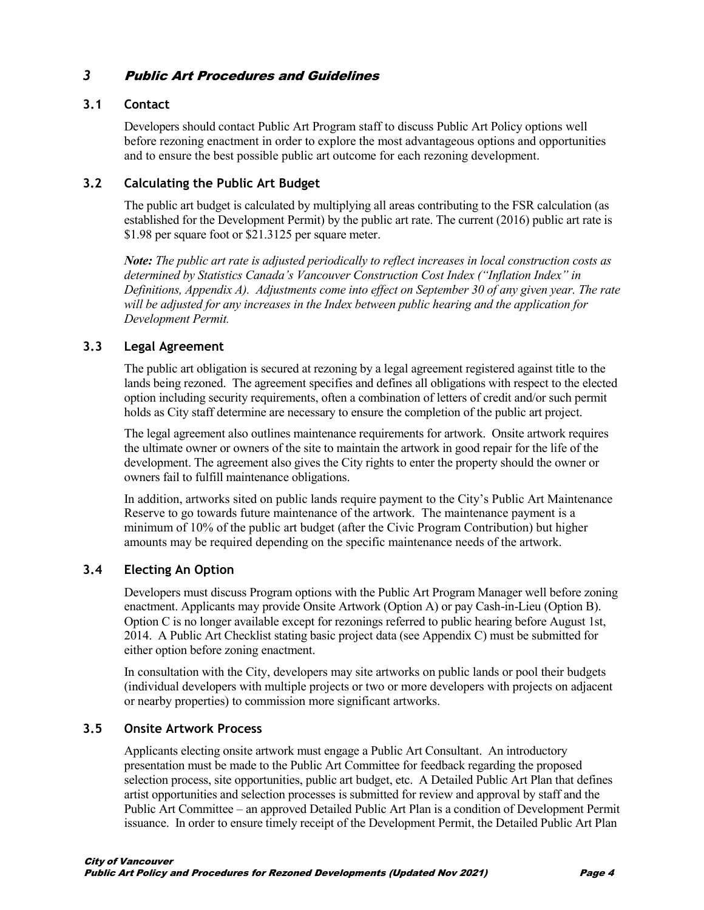## *3* Public Art Procedures and Guidelines

### **3.1 Contact**

Developers should contact Public Art Program staff to discuss Public Art Policy options well before rezoning enactment in order to explore the most advantageous options and opportunities and to ensure the best possible public art outcome for each rezoning development.

### **3.2 Calculating the Public Art Budget**

The public art budget is calculated by multiplying all areas contributing to the FSR calculation (as established for the Development Permit) by the public art rate. The current (2016) public art rate is \$1.98 per square foot or \$21.3125 per square meter.

*Note: The public art rate is adjusted periodically to reflect increases in local construction costs as determined by Statistics Canada's Vancouver Construction Cost Index ("Inflation Index" in Definitions, Appendix A). Adjustments come into effect on September 30 of any given year. The rate will be adjusted for any increases in the Index between public hearing and the application for Development Permit.*

#### **3.3 Legal Agreement**

The public art obligation is secured at rezoning by a legal agreement registered against title to the lands being rezoned. The agreement specifies and defines all obligations with respect to the elected option including security requirements, often a combination of letters of credit and/or such permit holds as City staff determine are necessary to ensure the completion of the public art project.

The legal agreement also outlines maintenance requirements for artwork. Onsite artwork requires the ultimate owner or owners of the site to maintain the artwork in good repair for the life of the development. The agreement also gives the City rights to enter the property should the owner or owners fail to fulfill maintenance obligations.

In addition, artworks sited on public lands require payment to the City's Public Art Maintenance Reserve to go towards future maintenance of the artwork. The maintenance payment is a minimum of 10% of the public art budget (after the Civic Program Contribution) but higher amounts may be required depending on the specific maintenance needs of the artwork.

#### **3.4 Electing An Option**

Developers must discuss Program options with the Public Art Program Manager well before zoning enactment. Applicants may provide Onsite Artwork (Option A) or pay Cash-in-Lieu (Option B). Option C is no longer available except for rezonings referred to public hearing before August 1st, 2014. A Public Art Checklist stating basic project data (see Appendix C) must be submitted for either option before zoning enactment.

In consultation with the City, developers may site artworks on public lands or pool their budgets (individual developers with multiple projects or two or more developers with projects on adjacent or nearby properties) to commission more significant artworks.

### **3.5 Onsite Artwork Process**

Applicants electing onsite artwork must engage a Public Art Consultant. An introductory presentation must be made to the Public Art Committee for feedback regarding the proposed selection process, site opportunities, public art budget, etc. A Detailed Public Art Plan that defines artist opportunities and selection processes is submitted for review and approval by staff and the Public Art Committee – an approved Detailed Public Art Plan is a condition of Development Permit issuance. In order to ensure timely receipt of the Development Permit, the Detailed Public Art Plan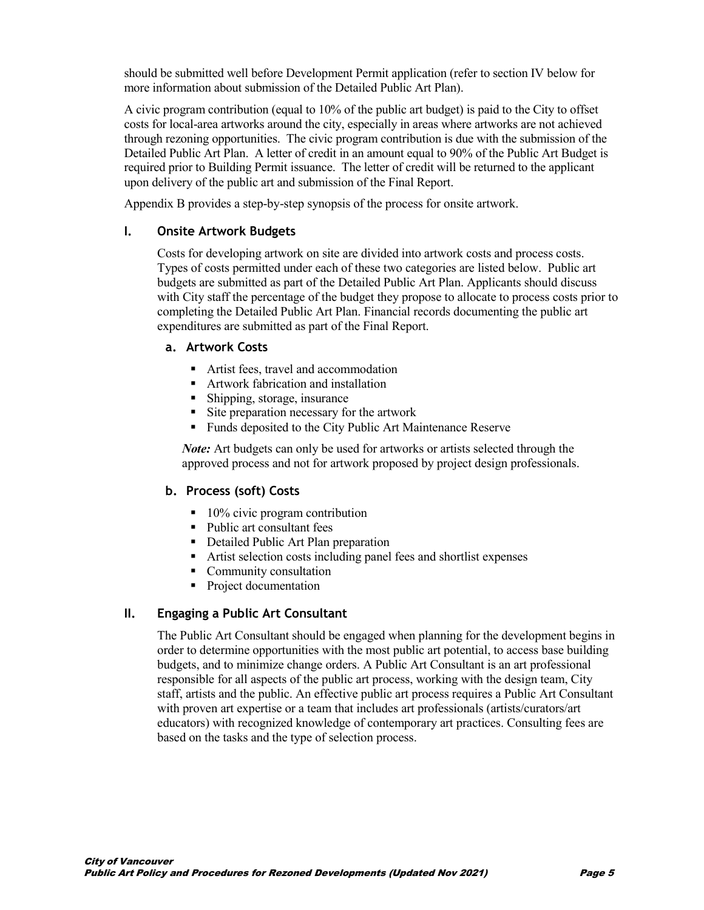should be submitted well before Development Permit application (refer to section IV below for more information about submission of the Detailed Public Art Plan).

A civic program contribution (equal to 10% of the public art budget) is paid to the City to offset costs for local-area artworks around the city, especially in areas where artworks are not achieved through rezoning opportunities. The civic program contribution is due with the submission of the Detailed Public Art Plan. A letter of credit in an amount equal to 90% of the Public Art Budget is required prior to Building Permit issuance. The letter of credit will be returned to the applicant upon delivery of the public art and submission of the Final Report.

Appendix B provides a step-by-step synopsis of the process for onsite artwork.

#### **I. Onsite Artwork Budgets**

Costs for developing artwork on site are divided into artwork costs and process costs. Types of costs permitted under each of these two categories are listed below. Public art budgets are submitted as part of the Detailed Public Art Plan. Applicants should discuss with City staff the percentage of the budget they propose to allocate to process costs prior to completing the Detailed Public Art Plan. Financial records documenting the public art expenditures are submitted as part of the Final Report.

#### **a. Artwork Costs**

- Artist fees, travel and accommodation
- Artwork fabrication and installation
- Shipping, storage, insurance
- Site preparation necessary for the artwork
- Funds deposited to the City Public Art Maintenance Reserve

*Note*: Art budgets can only be used for artworks or artists selected through the approved process and not for artwork proposed by project design professionals.

#### **b. Process (soft) Costs**

- $\blacksquare$  10% civic program contribution
- Public art consultant fees
- Detailed Public Art Plan preparation
- Artist selection costs including panel fees and shortlist expenses
- Community consultation
- Project documentation

#### **II. Engaging a Public Art Consultant**

The Public Art Consultant should be engaged when planning for the development begins in order to determine opportunities with the most public art potential, to access base building budgets, and to minimize change orders. A Public Art Consultant is an art professional responsible for all aspects of the public art process, working with the design team, City staff, artists and the public. An effective public art process requires a Public Art Consultant with proven art expertise or a team that includes art professionals (artists/curators/art educators) with recognized knowledge of contemporary art practices. Consulting fees are based on the tasks and the type of selection process.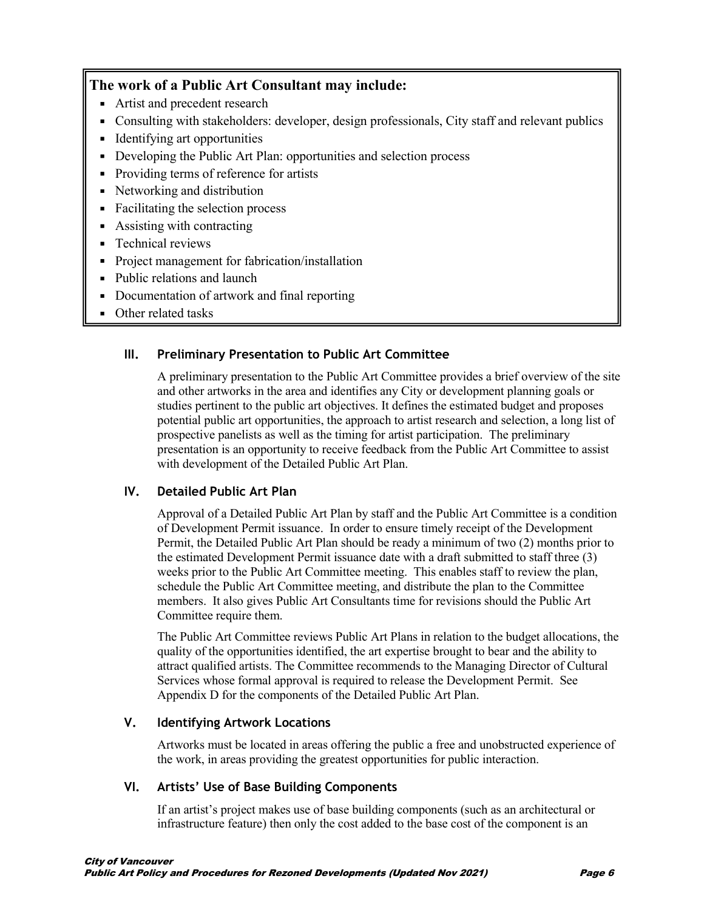### **The work of a Public Art Consultant may include:**

- Artist and precedent research
- Consulting with stakeholders: developer, design professionals, City staff and relevant publics
- Identifying art opportunities
- Developing the Public Art Plan: opportunities and selection process
- Providing terms of reference for artists
- Networking and distribution
- Facilitating the selection process
- Assisting with contracting
- **F** Technical reviews
- **Project management for fabrication**/installation
- Public relations and launch
- Documentation of artwork and final reporting
- Other related tasks

## **III. Preliminary Presentation to Public Art Committee**

A preliminary presentation to the Public Art Committee provides a brief overview of the site and other artworks in the area and identifies any City or development planning goals or studies pertinent to the public art objectives. It defines the estimated budget and proposes potential public art opportunities, the approach to artist research and selection, a long list of prospective panelists as well as the timing for artist participation. The preliminary presentation is an opportunity to receive feedback from the Public Art Committee to assist with development of the Detailed Public Art Plan.

### **IV. Detailed Public Art Plan**

Approval of a Detailed Public Art Plan by staff and the Public Art Committee is a condition of Development Permit issuance. In order to ensure timely receipt of the Development Permit, the Detailed Public Art Plan should be ready a minimum of two (2) months prior to the estimated Development Permit issuance date with a draft submitted to staff three (3) weeks prior to the Public Art Committee meeting. This enables staff to review the plan, schedule the Public Art Committee meeting, and distribute the plan to the Committee members. It also gives Public Art Consultants time for revisions should the Public Art Committee require them.

The Public Art Committee reviews Public Art Plans in relation to the budget allocations, the quality of the opportunities identified, the art expertise brought to bear and the ability to attract qualified artists. The Committee recommends to the Managing Director of Cultural Services whose formal approval is required to release the Development Permit. See Appendix D for the components of the Detailed Public Art Plan.

### **V. Identifying Artwork Locations**

Artworks must be located in areas offering the public a free and unobstructed experience of the work, in areas providing the greatest opportunities for public interaction.

### **VI. Artists' Use of Base Building Components**

If an artist's project makes use of base building components (such as an architectural or infrastructure feature) then only the cost added to the base cost of the component is an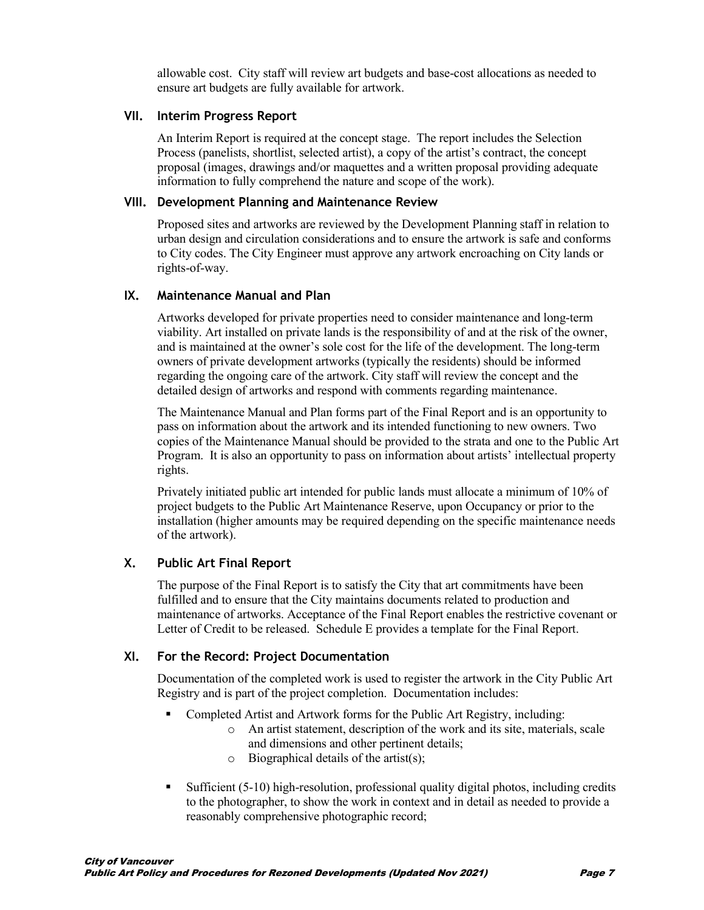allowable cost. City staff will review art budgets and base-cost allocations as needed to ensure art budgets are fully available for artwork.

#### **VII. Interim Progress Report**

An Interim Report is required at the concept stage. The report includes the Selection Process (panelists, shortlist, selected artist), a copy of the artist's contract, the concept proposal (images, drawings and/or maquettes and a written proposal providing adequate information to fully comprehend the nature and scope of the work).

#### **VIII. Development Planning and Maintenance Review**

Proposed sites and artworks are reviewed by the Development Planning staff in relation to urban design and circulation considerations and to ensure the artwork is safe and conforms to City codes. The City Engineer must approve any artwork encroaching on City lands or rights-of-way.

#### **IX. Maintenance Manual and Plan**

Artworks developed for private properties need to consider maintenance and long-term viability. Art installed on private lands is the responsibility of and at the risk of the owner, and is maintained at the owner's sole cost for the life of the development. The long-term owners of private development artworks (typically the residents) should be informed regarding the ongoing care of the artwork. City staff will review the concept and the detailed design of artworks and respond with comments regarding maintenance.

The Maintenance Manual and Plan forms part of the Final Report and is an opportunity to pass on information about the artwork and its intended functioning to new owners. Two copies of the Maintenance Manual should be provided to the strata and one to the Public Art Program. It is also an opportunity to pass on information about artists' intellectual property rights.

Privately initiated public art intended for public lands must allocate a minimum of 10% of project budgets to the Public Art Maintenance Reserve, upon Occupancy or prior to the installation (higher amounts may be required depending on the specific maintenance needs of the artwork).

#### **X. Public Art Final Report**

The purpose of the Final Report is to satisfy the City that art commitments have been fulfilled and to ensure that the City maintains documents related to production and maintenance of artworks. Acceptance of the Final Report enables the restrictive covenant or Letter of Credit to be released. Schedule E provides a template for the Final Report.

#### **XI. For the Record: Project Documentation**

Documentation of the completed work is used to register the artwork in the City Public Art Registry and is part of the project completion. Documentation includes:

- Completed Artist and Artwork forms for the Public Art Registry, including:
	- o An artist statement, description of the work and its site, materials, scale and dimensions and other pertinent details;
	- $\circ$  Biographical details of the artist(s);
- Sufficient (5-10) high-resolution, professional quality digital photos, including credits to the photographer, to show the work in context and in detail as needed to provide a reasonably comprehensive photographic record;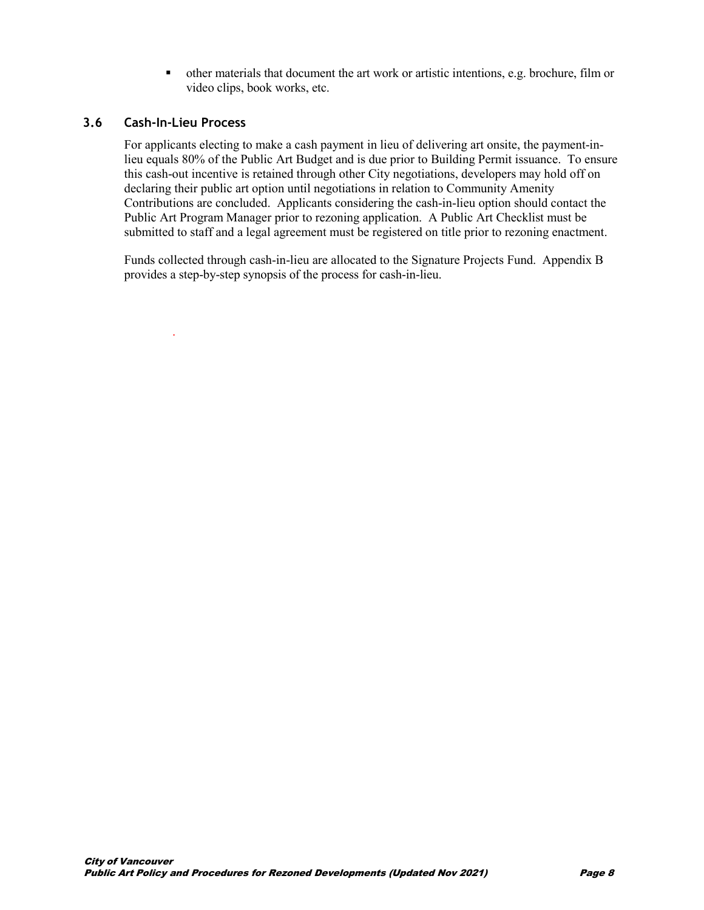other materials that document the art work or artistic intentions, e.g. brochure, film or video clips, book works, etc.

#### **3.6 Cash-In-Lieu Process**

.

For applicants electing to make a cash payment in lieu of delivering art onsite, the payment-inlieu equals 80% of the Public Art Budget and is due prior to Building Permit issuance. To ensure this cash-out incentive is retained through other City negotiations, developers may hold off on declaring their public art option until negotiations in relation to Community Amenity Contributions are concluded. Applicants considering the cash-in-lieu option should contact the Public Art Program Manager prior to rezoning application. A Public Art Checklist must be submitted to staff and a legal agreement must be registered on title prior to rezoning enactment.

Funds collected through cash-in-lieu are allocated to the Signature Projects Fund. Appendix B provides a step-by-step synopsis of the process for cash-in-lieu.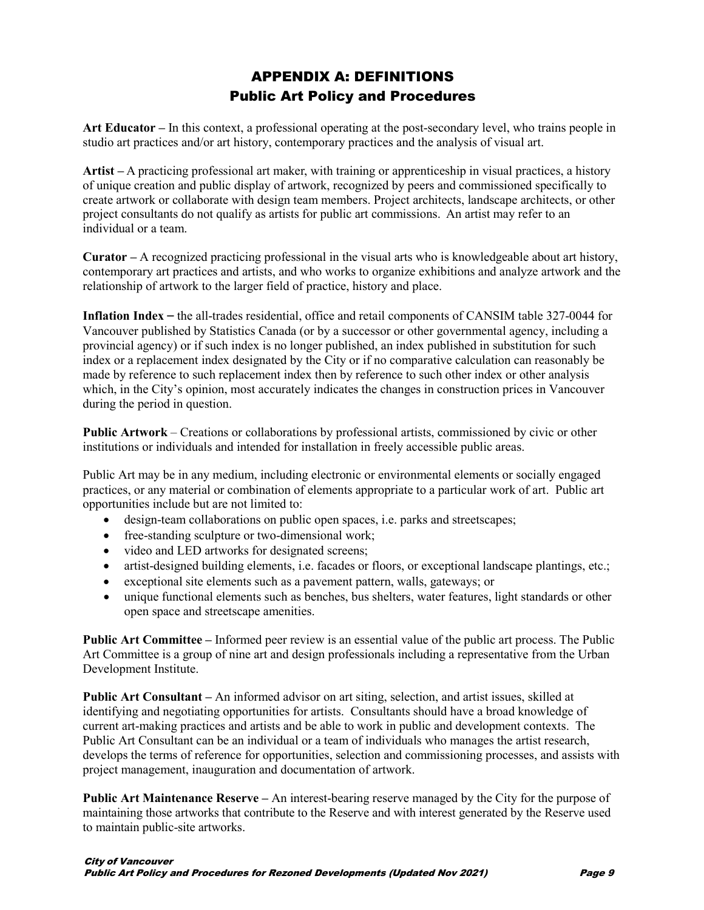# APPENDIX A: DEFINITIONS Public Art Policy and Procedures

**Art Educator –** In this context, a professional operating at the post-secondary level, who trains people in studio art practices and/or art history, contemporary practices and the analysis of visual art.

**Artist –** A practicing professional art maker, with training or apprenticeship in visual practices, a history of unique creation and public display of artwork, recognized by peers and commissioned specifically to create artwork or collaborate with design team members. Project architects, landscape architects, or other project consultants do not qualify as artists for public art commissions. An artist may refer to an individual or a team.

**Curator –** A recognized practicing professional in the visual arts who is knowledgeable about art history, contemporary art practices and artists, and who works to organize exhibitions and analyze artwork and the relationship of artwork to the larger field of practice, history and place.

**Inflation Index** – the all-trades residential, office and retail components of CANSIM table 327-0044 for Vancouver published by Statistics Canada (or by a successor or other governmental agency, including a provincial agency) or if such index is no longer published, an index published in substitution for such index or a replacement index designated by the City or if no comparative calculation can reasonably be made by reference to such replacement index then by reference to such other index or other analysis which, in the City's opinion, most accurately indicates the changes in construction prices in Vancouver during the period in question.

**Public Artwork** – Creations or collaborations by professional artists, commissioned by civic or other institutions or individuals and intended for installation in freely accessible public areas.

Public Art may be in any medium, including electronic or environmental elements or socially engaged practices, or any material or combination of elements appropriate to a particular work of art. Public art opportunities include but are not limited to:

- design-team collaborations on public open spaces, *i.e.* parks and streetscapes;
- free-standing sculpture or two-dimensional work;
- video and LED artworks for designated screens;
- artist-designed building elements, i.e. facades or floors, or exceptional landscape plantings, etc.;
- exceptional site elements such as a pavement pattern, walls, gateways; or
- unique functional elements such as benches, bus shelters, water features, light standards or other open space and streetscape amenities.

**Public Art Committee –** Informed peer review is an essential value of the public art process. The Public Art Committee is a group of nine art and design professionals including a representative from the Urban Development Institute.

**Public Art Consultant –** An informed advisor on art siting, selection, and artist issues, skilled at identifying and negotiating opportunities for artists. Consultants should have a broad knowledge of current art-making practices and artists and be able to work in public and development contexts. The Public Art Consultant can be an individual or a team of individuals who manages the artist research, develops the terms of reference for opportunities, selection and commissioning processes, and assists with project management, inauguration and documentation of artwork.

**Public Art Maintenance Reserve –** An interest-bearing reserve managed by the City for the purpose of maintaining those artworks that contribute to the Reserve and with interest generated by the Reserve used to maintain public-site artworks.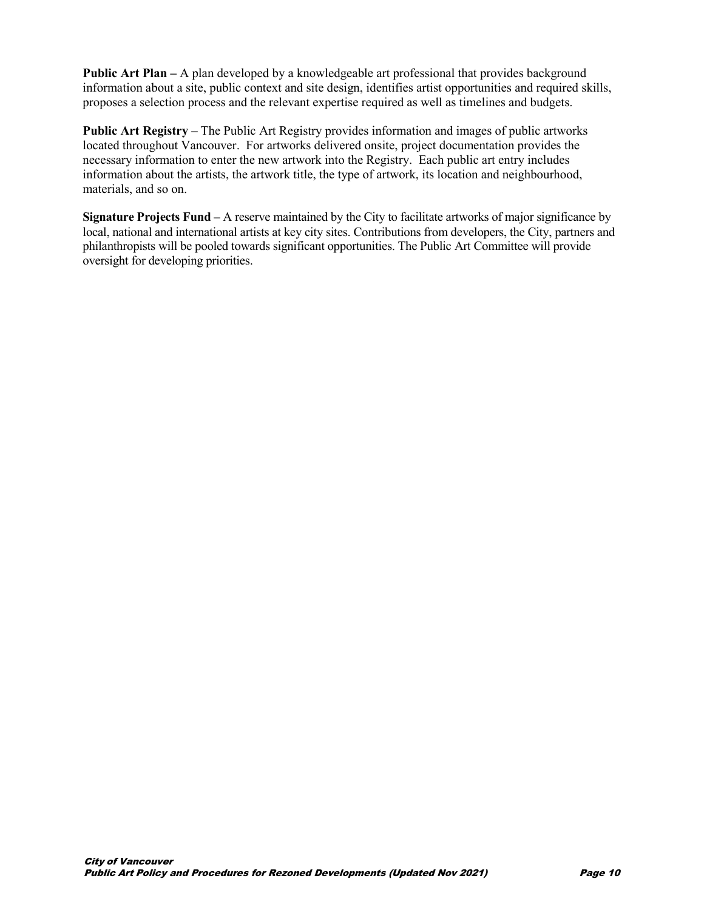**Public Art Plan –** A plan developed by a knowledgeable art professional that provides background information about a site, public context and site design, identifies artist opportunities and required skills, proposes a selection process and the relevant expertise required as well as timelines and budgets.

**Public Art Registry –** The Public Art Registry provides information and images of public artworks located throughout Vancouver. For artworks delivered onsite, project documentation provides the necessary information to enter the new artwork into the Registry. Each public art entry includes information about the artists, the artwork title, the type of artwork, its location and neighbourhood, materials, and so on.

**Signature Projects Fund –** A reserve maintained by the City to facilitate artworks of major significance by local, national and international artists at key city sites. Contributions from developers, the City, partners and philanthropists will be pooled towards significant opportunities. The Public Art Committee will provide oversight for developing priorities.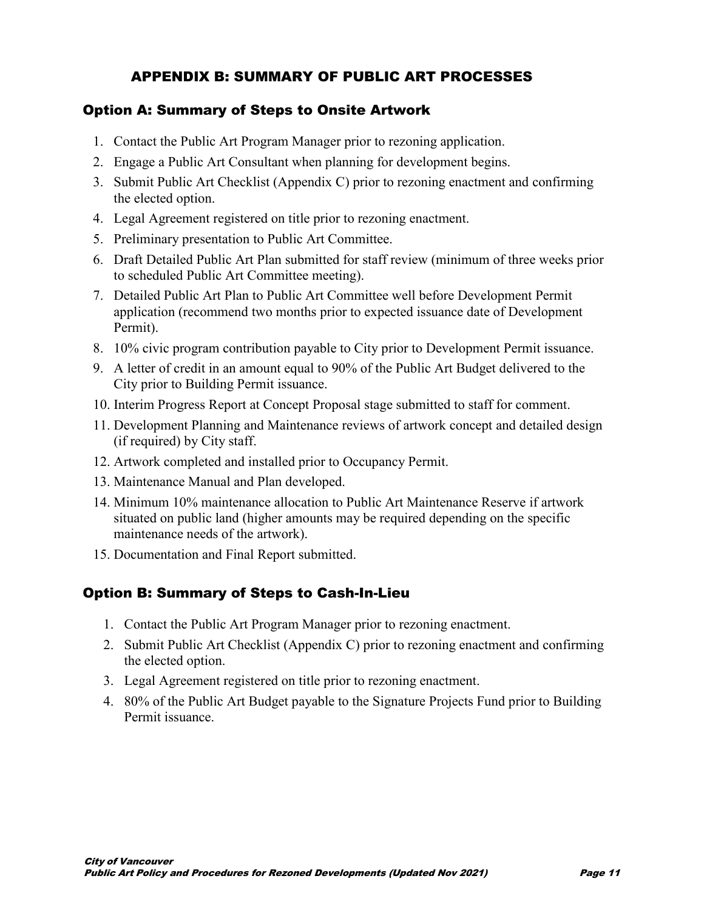# APPENDIX B: SUMMARY OF PUBLIC ART PROCESSES

## Option A: Summary of Steps to Onsite Artwork

- 1. Contact the Public Art Program Manager prior to rezoning application.
- 2. Engage a Public Art Consultant when planning for development begins.
- 3. Submit Public Art Checklist (Appendix C) prior to rezoning enactment and confirming the elected option.
- 4. Legal Agreement registered on title prior to rezoning enactment.
- 5. Preliminary presentation to Public Art Committee.
- 6. Draft Detailed Public Art Plan submitted for staff review (minimum of three weeks prior to scheduled Public Art Committee meeting).
- 7. Detailed Public Art Plan to Public Art Committee well before Development Permit application (recommend two months prior to expected issuance date of Development Permit).
- 8. 10% civic program contribution payable to City prior to Development Permit issuance.
- 9. A letter of credit in an amount equal to 90% of the Public Art Budget delivered to the City prior to Building Permit issuance.
- 10. Interim Progress Report at Concept Proposal stage submitted to staff for comment.
- 11. Development Planning and Maintenance reviews of artwork concept and detailed design (if required) by City staff.
- 12. Artwork completed and installed prior to Occupancy Permit.
- 13. Maintenance Manual and Plan developed.
- 14. Minimum 10% maintenance allocation to Public Art Maintenance Reserve if artwork situated on public land (higher amounts may be required depending on the specific maintenance needs of the artwork).
- 15. Documentation and Final Report submitted.

# Option B: Summary of Steps to Cash-In-Lieu

- 1. Contact the Public Art Program Manager prior to rezoning enactment.
- 2. Submit Public Art Checklist (Appendix C) prior to rezoning enactment and confirming the elected option.
- 3. Legal Agreement registered on title prior to rezoning enactment.
- 4. 80% of the Public Art Budget payable to the Signature Projects Fund prior to Building Permit issuance.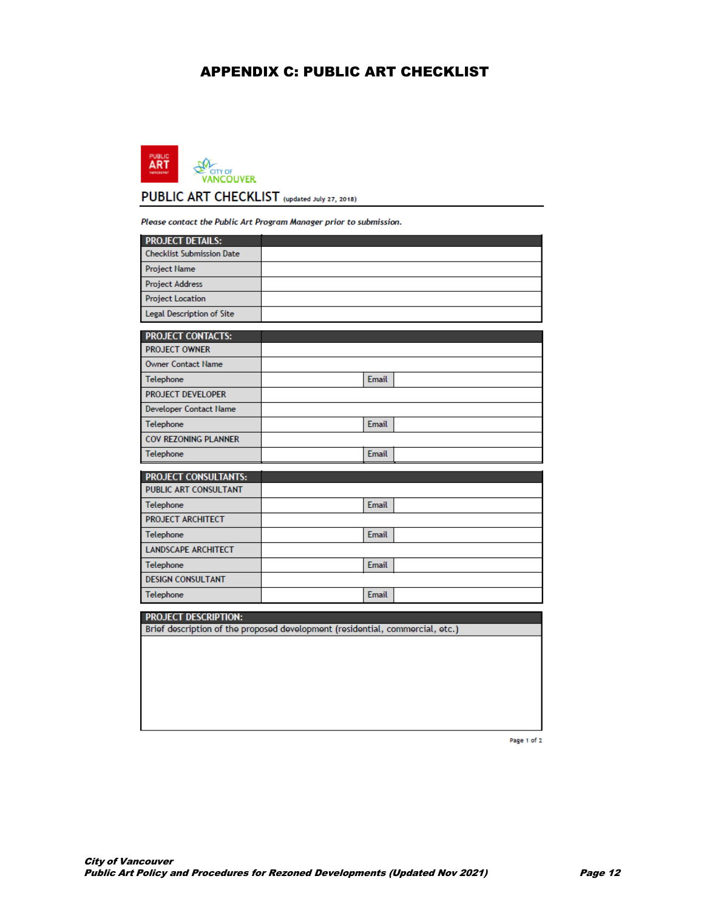## APPENDIX C: PUBLIC ART CHECKLIST



Please contact the Public Art Program Manager prior to submission.

| <b>PROJECT DETAILS:</b>                              |                                                                               |  |
|------------------------------------------------------|-------------------------------------------------------------------------------|--|
| <b>Checklist Submission Date</b>                     |                                                                               |  |
| <b>Project Name</b>                                  |                                                                               |  |
| <b>Project Address</b>                               |                                                                               |  |
| <b>Project Location</b>                              |                                                                               |  |
| Legal Description of Site                            |                                                                               |  |
| <b>PROJECT CONTACTS:</b>                             |                                                                               |  |
| <b>PROJECT OWNER</b>                                 |                                                                               |  |
| <b>Owner Contact Name</b>                            |                                                                               |  |
| Telephone                                            | Email                                                                         |  |
| <b>PROJECT DEVELOPER</b>                             |                                                                               |  |
| <b>Developer Contact Name</b>                        |                                                                               |  |
| Telephone                                            | <b>Email</b>                                                                  |  |
| COV REZONING PLANNER                                 |                                                                               |  |
| Telephone                                            | <b>Email</b>                                                                  |  |
|                                                      |                                                                               |  |
|                                                      |                                                                               |  |
| <b>PROJECT CONSULTANTS:</b><br>PUBLIC ART CONSULTANT |                                                                               |  |
| Telephone                                            | <b>Email</b>                                                                  |  |
| <b>PROJECT ARCHITECT</b>                             |                                                                               |  |
| Telephone                                            | Email                                                                         |  |
| <b>LANDSCAPE ARCHITECT</b>                           |                                                                               |  |
| Telephone                                            | <b>Email</b>                                                                  |  |
| <b>DESIGN CONSULTANT</b>                             |                                                                               |  |
| Telephone                                            | Email                                                                         |  |
|                                                      |                                                                               |  |
| <b>PROJECT DESCRIPTION:</b>                          | Brief description of the proposed development (residential, commercial, etc.) |  |
|                                                      |                                                                               |  |
|                                                      |                                                                               |  |
|                                                      |                                                                               |  |
|                                                      |                                                                               |  |

Page 1 of 2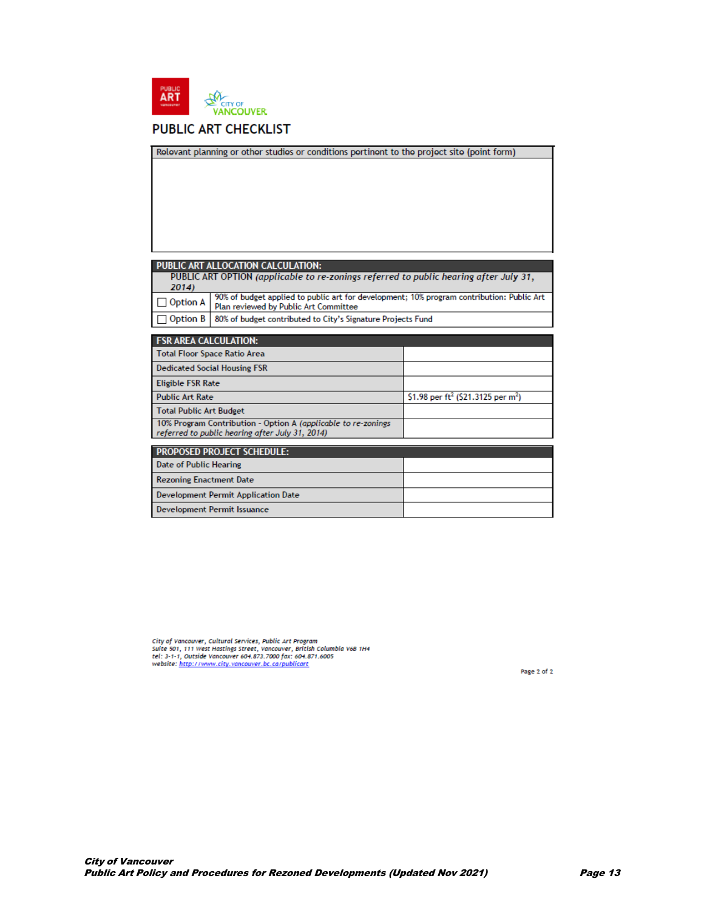

## **PUBLIC ART CHECKLIST**

|                                                                                                                                                                                                                                                             | Relevant planning or other studies or conditions pertinent to the project site (point form)                       |                                                            |  |  |  |
|-------------------------------------------------------------------------------------------------------------------------------------------------------------------------------------------------------------------------------------------------------------|-------------------------------------------------------------------------------------------------------------------|------------------------------------------------------------|--|--|--|
|                                                                                                                                                                                                                                                             |                                                                                                                   |                                                            |  |  |  |
|                                                                                                                                                                                                                                                             |                                                                                                                   |                                                            |  |  |  |
| <b>PUBLIC ART ALLOCATION CALCULATION:</b><br>PUBLIC ART OPTION (applicable to re-zonings referred to public hearing after July 31,<br>2014)<br>90% of budget applied to public art for development; 10% program contribution: Public Art<br><b>Option A</b> |                                                                                                                   |                                                            |  |  |  |
| <b>Option B</b>                                                                                                                                                                                                                                             | Plan reviewed by Public Art Committee<br>80% of budget contributed to City's Signature Projects Fund              |                                                            |  |  |  |
|                                                                                                                                                                                                                                                             |                                                                                                                   |                                                            |  |  |  |
|                                                                                                                                                                                                                                                             |                                                                                                                   |                                                            |  |  |  |
| <b>FSR AREA CALCULATION:</b><br><b>Total Floor Space Ratio Area</b>                                                                                                                                                                                         |                                                                                                                   |                                                            |  |  |  |
|                                                                                                                                                                                                                                                             | <b>Dedicated Social Housing FSR</b>                                                                               |                                                            |  |  |  |
| <b>Eligible FSR Rate</b>                                                                                                                                                                                                                                    |                                                                                                                   |                                                            |  |  |  |
| <b>Public Art Rate</b>                                                                                                                                                                                                                                      |                                                                                                                   | \$1.98 per ft <sup>2</sup> (\$21.3125 per m <sup>2</sup> ) |  |  |  |
| <b>Total Public Art Budget</b>                                                                                                                                                                                                                              |                                                                                                                   |                                                            |  |  |  |
|                                                                                                                                                                                                                                                             | 10% Program Contribution - Option A (applicable to re-zonings)<br>referred to public hearing after July 31, 2014) |                                                            |  |  |  |
|                                                                                                                                                                                                                                                             | <b>PROPOSED PROJECT SCHEDULE:</b>                                                                                 |                                                            |  |  |  |
| <b>Date of Public Hearing</b>                                                                                                                                                                                                                               |                                                                                                                   |                                                            |  |  |  |
| <b>Rezoning Enactment Date</b>                                                                                                                                                                                                                              |                                                                                                                   |                                                            |  |  |  |
|                                                                                                                                                                                                                                                             | <b>Development Permit Application Date</b>                                                                        |                                                            |  |  |  |

City of Vancouver, Cultural Services, Public Art Program<br>Suite 501, 111 West Hastings Street, Vancouver, British Columbia V6B 1H4<br>tel: 3-1-1, Outside Vancouver 604.873.7000 fax: 604.871.6005<br>website: <u>http://www.city.vanco</u>

Page 2 of 2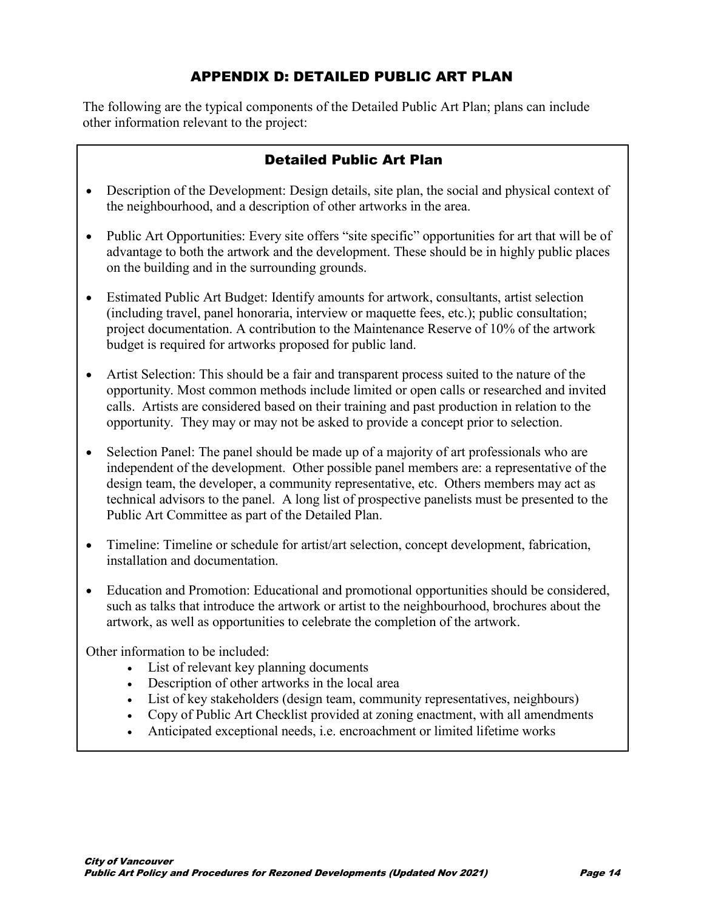# APPENDIX D: DETAILED PUBLIC ART PLAN

The following are the typical components of the Detailed Public Art Plan; plans can include other information relevant to the project:

## Detailed Public Art Plan

- Description of the Development: Design details, site plan, the social and physical context of the neighbourhood, and a description of other artworks in the area.
- Public Art Opportunities: Every site offers "site specific" opportunities for art that will be of advantage to both the artwork and the development. These should be in highly public places on the building and in the surrounding grounds.
- Estimated Public Art Budget: Identify amounts for artwork, consultants, artist selection (including travel, panel honoraria, interview or maquette fees, etc.); public consultation; project documentation. A contribution to the Maintenance Reserve of 10% of the artwork budget is required for artworks proposed for public land.
- Artist Selection: This should be a fair and transparent process suited to the nature of the opportunity. Most common methods include limited or open calls or researched and invited calls. Artists are considered based on their training and past production in relation to the opportunity. They may or may not be asked to provide a concept prior to selection.
- Selection Panel: The panel should be made up of a majority of art professionals who are independent of the development. Other possible panel members are: a representative of the design team, the developer, a community representative, etc. Others members may act as technical advisors to the panel. A long list of prospective panelists must be presented to the Public Art Committee as part of the Detailed Plan.
- Timeline: Timeline or schedule for artist/art selection, concept development, fabrication, installation and documentation.
- Education and Promotion: Educational and promotional opportunities should be considered, such as talks that introduce the artwork or artist to the neighbourhood, brochures about the artwork, as well as opportunities to celebrate the completion of the artwork.

Other information to be included:

- List of relevant key planning documents
- Description of other artworks in the local area
- List of key stakeholders (design team, community representatives, neighbours)
- Copy of Public Art Checklist provided at zoning enactment, with all amendments
- Anticipated exceptional needs, i.e. encroachment or limited lifetime works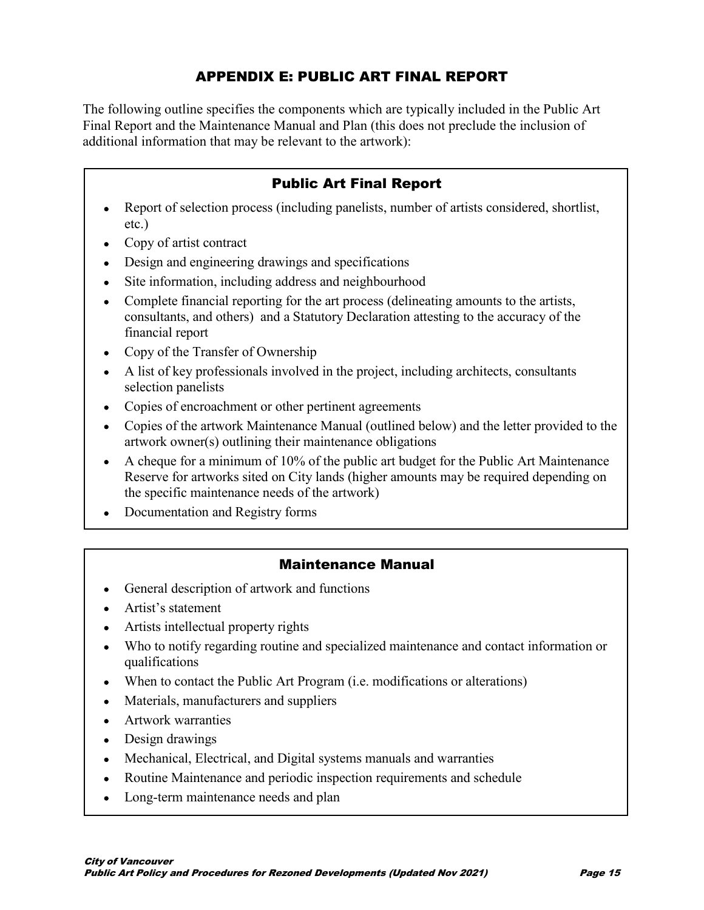# APPENDIX E: PUBLIC ART FINAL REPORT

The following outline specifies the components which are typically included in the Public Art Final Report and the Maintenance Manual and Plan (this does not preclude the inclusion of additional information that may be relevant to the artwork):

## Public Art Final Report

- Report of selection process (including panelists, number of artists considered, shortlist, etc.)
- Copy of artist contract
- Design and engineering drawings and specifications
- Site information, including address and neighbourhood
- Complete financial reporting for the art process (delineating amounts to the artists, consultants, and others) and a Statutory Declaration attesting to the accuracy of the financial report
- Copy of the Transfer of Ownership
- A list of key professionals involved in the project, including architects, consultants selection panelists
- Copies of encroachment or other pertinent agreements
- Copies of the artwork Maintenance Manual (outlined below) and the letter provided to the artwork owner(s) outlining their maintenance obligations
- A cheque for a minimum of 10% of the public art budget for the Public Art Maintenance Reserve for artworks sited on City lands (higher amounts may be required depending on the specific maintenance needs of the artwork)
- Documentation and Registry forms

## Maintenance Manual

- General description of artwork and functions
- Artist's statement
- Artists intellectual property rights
- Who to notify regarding routine and specialized maintenance and contact information or qualifications
- When to contact the Public Art Program (i.e. modifications or alterations)
- Materials, manufacturers and suppliers
- Artwork warranties
- Design drawings
- Mechanical, Electrical, and Digital systems manuals and warranties
- Routine Maintenance and periodic inspection requirements and schedule
- Long-term maintenance needs and plan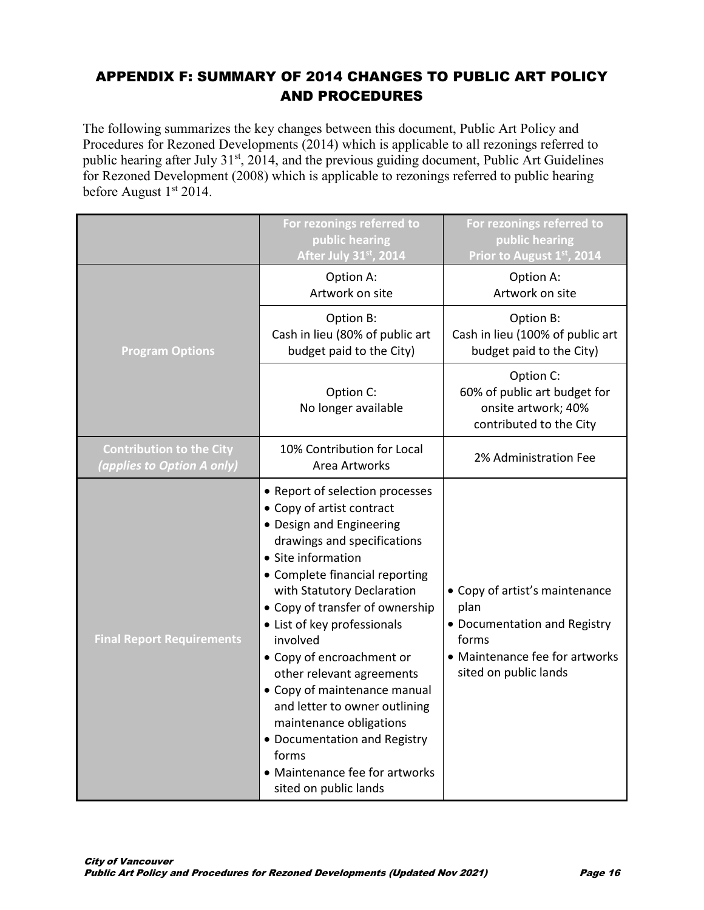# APPENDIX F: SUMMARY OF 2014 CHANGES TO PUBLIC ART POLICY AND PROCEDURES

The following summarizes the key changes between this document, Public Art Policy and Procedures for Rezoned Developments (2014) which is applicable to all rezonings referred to public hearing after July 31<sup>st</sup>, 2014, and the previous guiding document, Public Art Guidelines for Rezoned Development (2008) which is applicable to rezonings referred to public hearing before August  $1<sup>st</sup> 2014$ .

|                                                               | For rezonings referred to<br>public hearing<br>After July 31st, 2014                                                                                                                                                                                                                                                                                                                                                                                                                                                                                  | For rezonings referred to<br>public hearing<br>Prior to August 1st, 2014                                                                   |
|---------------------------------------------------------------|-------------------------------------------------------------------------------------------------------------------------------------------------------------------------------------------------------------------------------------------------------------------------------------------------------------------------------------------------------------------------------------------------------------------------------------------------------------------------------------------------------------------------------------------------------|--------------------------------------------------------------------------------------------------------------------------------------------|
|                                                               | Option A:<br>Artwork on site                                                                                                                                                                                                                                                                                                                                                                                                                                                                                                                          | Option A:<br>Artwork on site                                                                                                               |
| <b>Program Options</b>                                        | Option B:<br>Cash in lieu (80% of public art<br>budget paid to the City)                                                                                                                                                                                                                                                                                                                                                                                                                                                                              | Option B:<br>Cash in lieu (100% of public art<br>budget paid to the City)                                                                  |
|                                                               | Option C:<br>No longer available                                                                                                                                                                                                                                                                                                                                                                                                                                                                                                                      | Option C:<br>60% of public art budget for<br>onsite artwork; 40%<br>contributed to the City                                                |
| <b>Contribution to the City</b><br>(applies to Option A only) | 10% Contribution for Local<br>Area Artworks                                                                                                                                                                                                                                                                                                                                                                                                                                                                                                           | 2% Administration Fee                                                                                                                      |
| <b>Final Report Requirements</b>                              | • Report of selection processes<br>• Copy of artist contract<br>• Design and Engineering<br>drawings and specifications<br>• Site information<br>• Complete financial reporting<br>with Statutory Declaration<br>• Copy of transfer of ownership<br>• List of key professionals<br>involved<br>• Copy of encroachment or<br>other relevant agreements<br>• Copy of maintenance manual<br>and letter to owner outlining<br>maintenance obligations<br>• Documentation and Registry<br>forms<br>• Maintenance fee for artworks<br>sited on public lands | • Copy of artist's maintenance<br>plan<br>• Documentation and Registry<br>forms<br>• Maintenance fee for artworks<br>sited on public lands |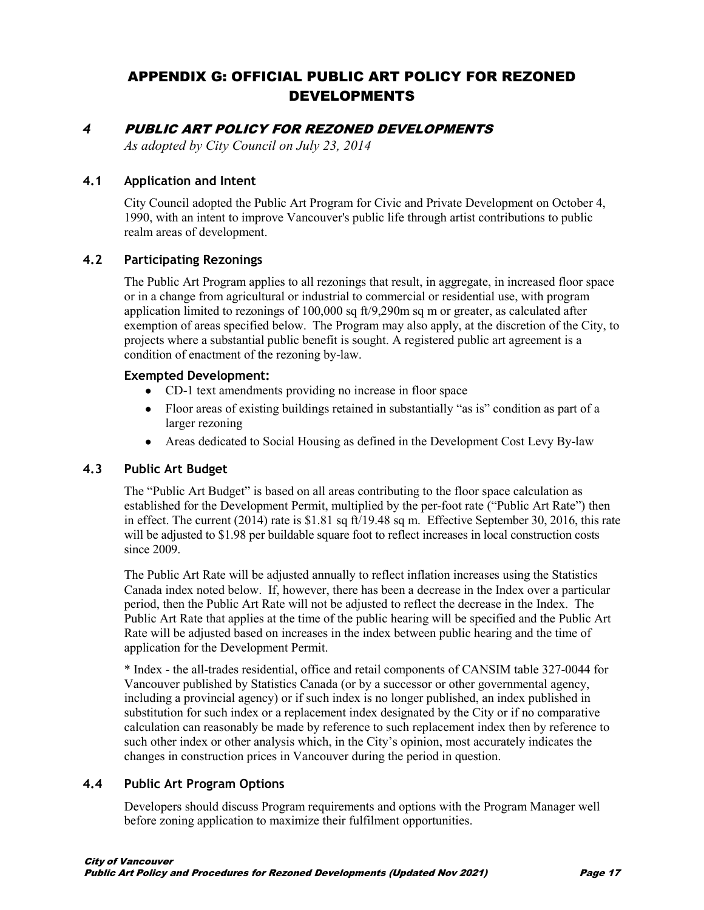# APPENDIX G: OFFICIAL PUBLIC ART POLICY FOR REZONED DEVELOPMENTS

## *4* PUBLIC ART POLICY FOR REZONED DEVELOPMENTS

*As adopted by City Council on July 23, 2014*

#### **4.1 Application and Intent**

City Council adopted the Public Art Program for Civic and Private Development on October 4, 1990, with an intent to improve Vancouver's public life through artist contributions to public realm areas of development.

#### **4.2 Participating Rezonings**

The Public Art Program applies to all rezonings that result, in aggregate, in increased floor space or in a change from agricultural or industrial to commercial or residential use, with program application limited to rezonings of 100,000 sq ft/9,290m sq m or greater, as calculated after exemption of areas specified below. The Program may also apply, at the discretion of the City, to projects where a substantial public benefit is sought. A registered public art agreement is a condition of enactment of the rezoning by-law.

#### **Exempted Development:**

- CD-1 text amendments providing no increase in floor space
- Floor areas of existing buildings retained in substantially "as is" condition as part of a larger rezoning
- Areas dedicated to Social Housing as defined in the Development Cost Levy By-law

#### **4.3 Public Art Budget**

The "Public Art Budget" is based on all areas contributing to the floor space calculation as established for the Development Permit, multiplied by the per-foot rate ("Public Art Rate") then in effect. The current (2014) rate is \$1.81 sq ft/19.48 sq m. Effective September 30, 2016, this rate will be adjusted to \$1.98 per buildable square foot to reflect increases in local construction costs since 2009.

The Public Art Rate will be adjusted annually to reflect inflation increases using the Statistics Canada index noted below. If, however, there has been a decrease in the Index over a particular period, then the Public Art Rate will not be adjusted to reflect the decrease in the Index. The Public Art Rate that applies at the time of the public hearing will be specified and the Public Art Rate will be adjusted based on increases in the index between public hearing and the time of application for the Development Permit.

\* Index - the all-trades residential, office and retail components of CANSIM table 327-0044 for Vancouver published by Statistics Canada (or by a successor or other governmental agency, including a provincial agency) or if such index is no longer published, an index published in substitution for such index or a replacement index designated by the City or if no comparative calculation can reasonably be made by reference to such replacement index then by reference to such other index or other analysis which, in the City's opinion, most accurately indicates the changes in construction prices in Vancouver during the period in question.

#### **4.4 Public Art Program Options**

Developers should discuss Program requirements and options with the Program Manager well before zoning application to maximize their fulfilment opportunities.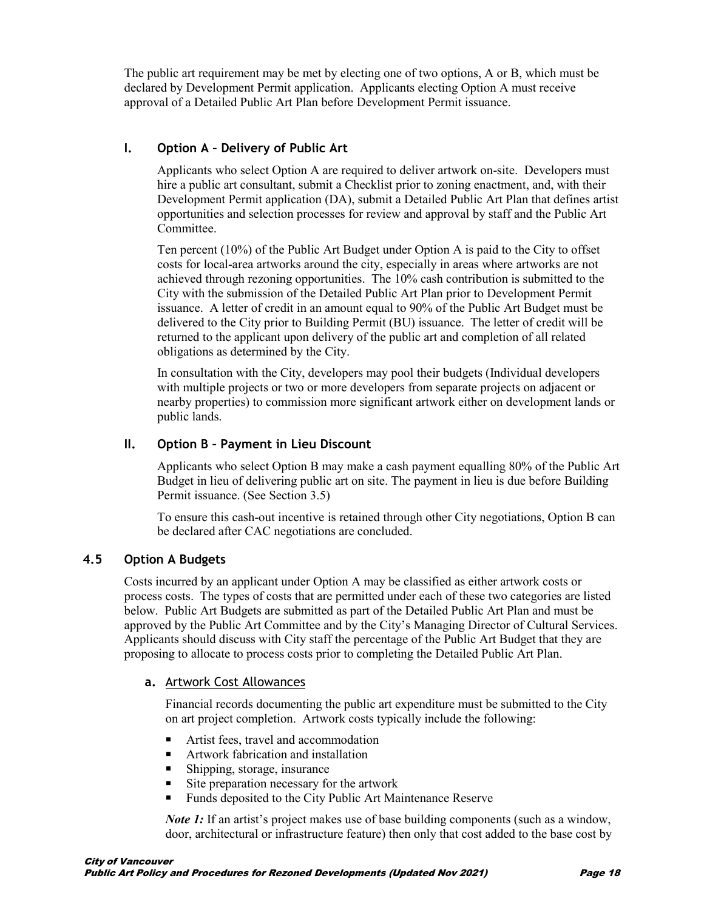The public art requirement may be met by electing one of two options, A or B, which must be declared by Development Permit application. Applicants electing Option A must receive approval of a Detailed Public Art Plan before Development Permit issuance.

#### **I. Option A – Delivery of Public Art**

Applicants who select Option A are required to deliver artwork on-site. Developers must hire a public art consultant, submit a Checklist prior to zoning enactment, and, with their Development Permit application (DA), submit a Detailed Public Art Plan that defines artist opportunities and selection processes for review and approval by staff and the Public Art Committee.

Ten percent (10%) of the Public Art Budget under Option A is paid to the City to offset costs for local-area artworks around the city, especially in areas where artworks are not achieved through rezoning opportunities. The 10% cash contribution is submitted to the City with the submission of the Detailed Public Art Plan prior to Development Permit issuance. A letter of credit in an amount equal to 90% of the Public Art Budget must be delivered to the City prior to Building Permit (BU) issuance. The letter of credit will be returned to the applicant upon delivery of the public art and completion of all related obligations as determined by the City.

In consultation with the City, developers may pool their budgets (Individual developers with multiple projects or two or more developers from separate projects on adjacent or nearby properties) to commission more significant artwork either on development lands or public lands.

### **II. Option B – Payment in Lieu Discount**

Applicants who select Option B may make a cash payment equalling 80% of the Public Art Budget in lieu of delivering public art on site. The payment in lieu is due before Building Permit issuance. (See Section 3.5)

To ensure this cash-out incentive is retained through other City negotiations, Option B can be declared after CAC negotiations are concluded.

#### **4.5 Option A Budgets**

Costs incurred by an applicant under Option A may be classified as either artwork costs or process costs. The types of costs that are permitted under each of these two categories are listed below. Public Art Budgets are submitted as part of the Detailed Public Art Plan and must be approved by the Public Art Committee and by the City's Managing Director of Cultural Services. Applicants should discuss with City staff the percentage of the Public Art Budget that they are proposing to allocate to process costs prior to completing the Detailed Public Art Plan.

#### **a.** Artwork Cost Allowances

Financial records documenting the public art expenditure must be submitted to the City on art project completion. Artwork costs typically include the following:

- Artist fees, travel and accommodation
- Artwork fabrication and installation
- Shipping, storage, insurance
- Site preparation necessary for the artwork
- Funds deposited to the City Public Art Maintenance Reserve

*Note 1*: If an artist's project makes use of base building components (such as a window, door, architectural or infrastructure feature) then only that cost added to the base cost by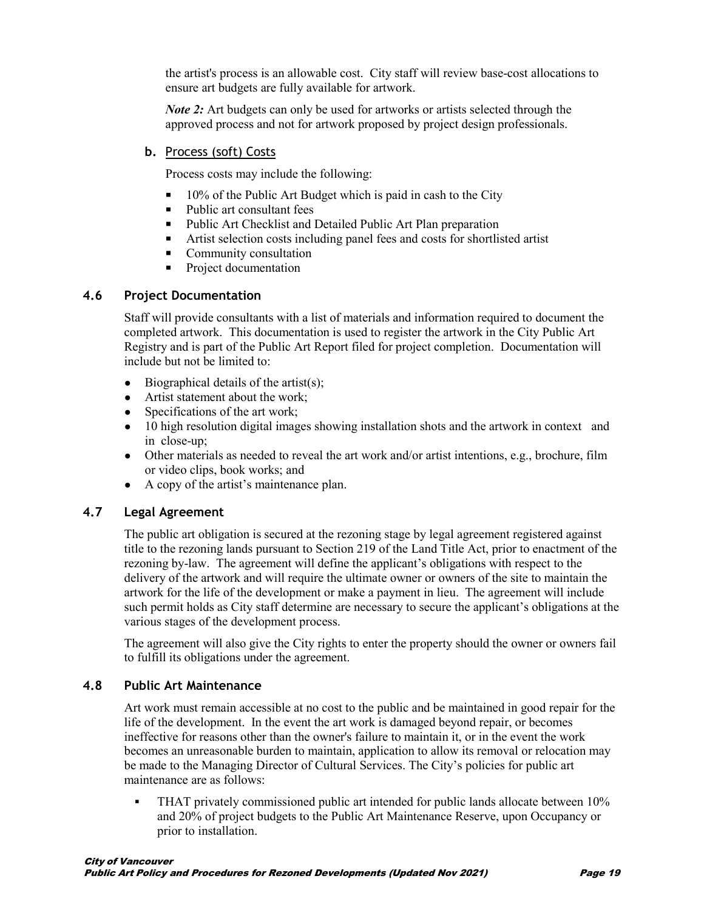the artist's process is an allowable cost. City staff will review base-cost allocations to ensure art budgets are fully available for artwork.

*Note 2*: Art budgets can only be used for artworks or artists selected through the approved process and not for artwork proposed by project design professionals.

#### **b.** Process (soft) Costs

Process costs may include the following:

- 10% of the Public Art Budget which is paid in cash to the City
- Public art consultant fees
- **Public Art Checklist and Detailed Public Art Plan preparation**
- Artist selection costs including panel fees and costs for shortlisted artist
- Community consultation
- **Project documentation**

#### **4.6 Project Documentation**

Staff will provide consultants with a list of materials and information required to document the completed artwork. This documentation is used to register the artwork in the City Public Art Registry and is part of the Public Art Report filed for project completion. Documentation will include but not be limited to:

- $\bullet$  Biographical details of the artist(s);
- Artist statement about the work;
- Specifications of the art work;
- 10 high resolution digital images showing installation shots and the artwork in context and in close-up;
- Other materials as needed to reveal the art work and/or artist intentions, e.g., brochure, film or video clips, book works; and
- A copy of the artist's maintenance plan.

#### **4.7 Legal Agreement**

The public art obligation is secured at the rezoning stage by legal agreement registered against title to the rezoning lands pursuant to Section 219 of the Land Title Act, prior to enactment of the rezoning by-law. The agreement will define the applicant's obligations with respect to the delivery of the artwork and will require the ultimate owner or owners of the site to maintain the artwork for the life of the development or make a payment in lieu. The agreement will include such permit holds as City staff determine are necessary to secure the applicant's obligations at the various stages of the development process.

The agreement will also give the City rights to enter the property should the owner or owners fail to fulfill its obligations under the agreement.

#### **4.8 Public Art Maintenance**

Art work must remain accessible at no cost to the public and be maintained in good repair for the life of the development. In the event the art work is damaged beyond repair, or becomes ineffective for reasons other than the owner's failure to maintain it, or in the event the work becomes an unreasonable burden to maintain, application to allow its removal or relocation may be made to the Managing Director of Cultural Services. The City's policies for public art maintenance are as follows:

 THAT privately commissioned public art intended for public lands allocate between 10% and 20% of project budgets to the Public Art Maintenance Reserve, upon Occupancy or prior to installation.